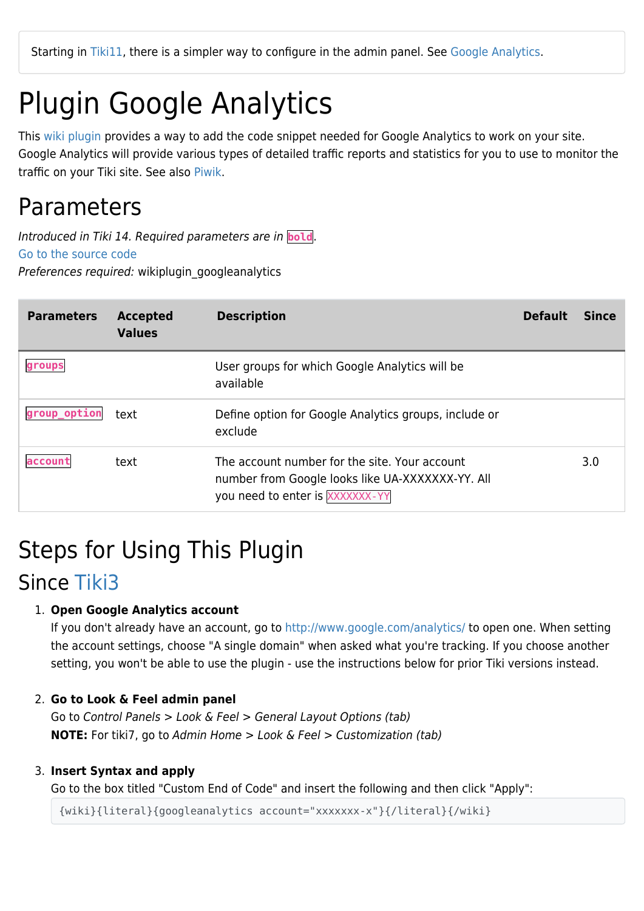Starting in [Tiki11](https://doc.tiki.org/Tiki11), there is a simpler way to configure in the admin panel. See [Google Analytics.](https://doc.tiki.org/Google-Analytics)

# Plugin Google Analytics

This [wiki plugin](https://doc.tiki.org/wiki%20plugin) provides a way to add the code snippet needed for Google Analytics to work on your site. Google Analytics will provide various types of detailed traffic reports and statistics for you to use to monitor the traffic on your Tiki site. See also [Piwik.](https://doc.tiki.org/Piwik)

### Parameters

Introduced in Tiki 14. Required parameters are in **bold**. [Go to the source code](https://gitlab.com/tikiwiki/tiki/-/blob/master/lib/wiki-plugins/wikiplugin_googleanalytics.php) Preferences required: wikiplugin\_googleanalytics

| <b>Parameters</b> | <b>Accepted</b><br><b>Values</b> | <b>Description</b>                                                                                                                   | <b>Default</b> | <b>Since</b> |
|-------------------|----------------------------------|--------------------------------------------------------------------------------------------------------------------------------------|----------------|--------------|
| groups            |                                  | User groups for which Google Analytics will be<br>available                                                                          |                |              |
| group_option      | text                             | Define option for Google Analytics groups, include or<br>exclude                                                                     |                |              |
| laccount          | text                             | The account number for the site. Your account<br>number from Google looks like UA-XXXXXXX-YY. All<br>you need to enter is XXXXXXX-YY |                | 3.0          |

### Steps for Using This Plugin

### Since [Tiki3](https://doc.tiki.org/Tiki3)

#### 1. **Open Google Analytics account**

If you don't already have an account, go to <http://www.google.com/analytics/> to open one. When setting the account settings, choose "A single domain" when asked what you're tracking. If you choose another setting, you won't be able to use the plugin - use the instructions below for prior Tiki versions instead.

#### 2. **Go to Look & Feel admin panel**

Go to Control Panels > Look & Feel > General Layout Options (tab) **NOTE:** For tiki7, go to Admin Home > Look & Feel > Customization (tab)

#### 3. **Insert Syntax and apply**

Go to the box titled "Custom End of Code" and insert the following and then click "Apply":

{wiki}{literal}{googleanalytics account="xxxxxxx-x"}{/literal}{/wiki}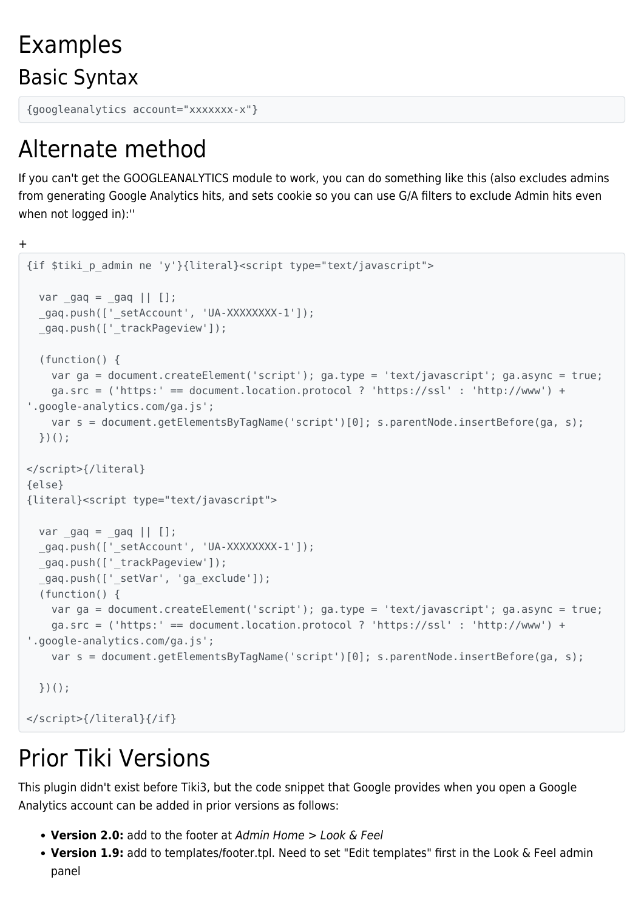Examples Basic Syntax

```
{googleanalytics account="xxxxxxx-x"}
```
## Alternate method

If you can't get the GOOGLEANALYTICS module to work, you can do something like this (also excludes admins from generating Google Analytics hits, and sets cookie so you can use G/A filters to exclude Admin hits even when not logged in):''

+ {if \$tiki\_p\_admin ne 'y'}{literal}<script type="text/javascript">  $var_{gas} = \frac{1}{2}$  \_gaq.push(['\_setAccount', 'UA-XXXXXXXX-1']); gaq.push([' trackPageview']); (function() { var ga = document.createElement('script'); ga.type = 'text/javascript'; ga.async = true; ga.src = ('https:' == document.location.protocol ? 'https://ssl' : 'http://www') + '.google-analytics.com/ga.js'; var s = document.getElementsByTagName('script')[0]; s.parentNode.insertBefore(ga, s); })(); </script>{/literal} {else} {literal}<script type="text/javascript"> var  $\text{gaq} = \text{gaq} \mid \text{[]}$  \_gaq.push(['\_setAccount', 'UA-XXXXXXXX-1']); qaq.push(['trackPageview']); gaq.push([' setVar', 'ga exclude']); (function() { var ga = document.createElement('script'); ga.type = 'text/javascript'; ga.async = true; ga.src = ('https:' == document.location.protocol ? 'https://ssl' : 'http://www') + '.google-analytics.com/ga.js'; var s = document.getElementsByTagName('script')[0]; s.parentNode.insertBefore(ga, s); })(); </script>{/literal}{/if}

## Prior Tiki Versions

This plugin didn't exist before Tiki3, but the code snippet that Google provides when you open a Google Analytics account can be added in prior versions as follows:

- **Version 2.0:** add to the footer at Admin Home > Look & Feel
- **Version 1.9:** add to templates/footer.tpl. Need to set "Edit templates" first in the Look & Feel admin panel